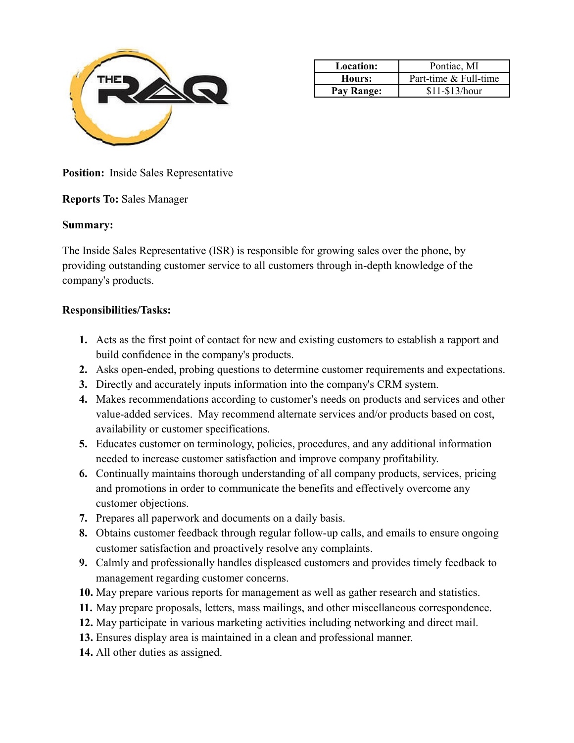

| <b>Location:</b> | Pontiac, MI           |
|------------------|-----------------------|
| Hours:           | Part-time & Full-time |
| Pay Range:       | \$11-\$13/hour        |

**Position:** Inside Sales Representative

#### **Reports To:** Sales Manager

#### **Summary:**

The Inside Sales Representative (ISR) is responsible for growing sales over the phone, by providing outstanding customer service to all customers through in-depth knowledge of the company's products.

#### **Responsibilities/Tasks:**

- **1.** Acts as the first point of contact for new and existing customers to establish a rapport and build confidence in the company's products.
- **2.** Asks open-ended, probing questions to determine customer requirements and expectations.
- **3.** Directly and accurately inputs information into the company's CRM system.
- **4.** Makes recommendations according to customer's needs on products and services and other value-added services. May recommend alternate services and/or products based on cost, availability or customer specifications.
- **5.** Educates customer on terminology, policies, procedures, and any additional information needed to increase customer satisfaction and improve company profitability.
- **6.** Continually maintains thorough understanding of all company products, services, pricing and promotions in order to communicate the benefits and effectively overcome any customer objections.
- **7.** Prepares all paperwork and documents on a daily basis.
- **8.** Obtains customer feedback through regular follow-up calls, and emails to ensure ongoing customer satisfaction and proactively resolve any complaints.
- **9.** Calmly and professionally handles displeased customers and provides timely feedback to management regarding customer concerns.
- **10.** May prepare various reports for management as well as gather research and statistics.
- **11.** May prepare proposals, letters, mass mailings, and other miscellaneous correspondence.
- **12.** May participate in various marketing activities including networking and direct mail.
- **13.** Ensures display area is maintained in a clean and professional manner.
- **14.** All other duties as assigned.